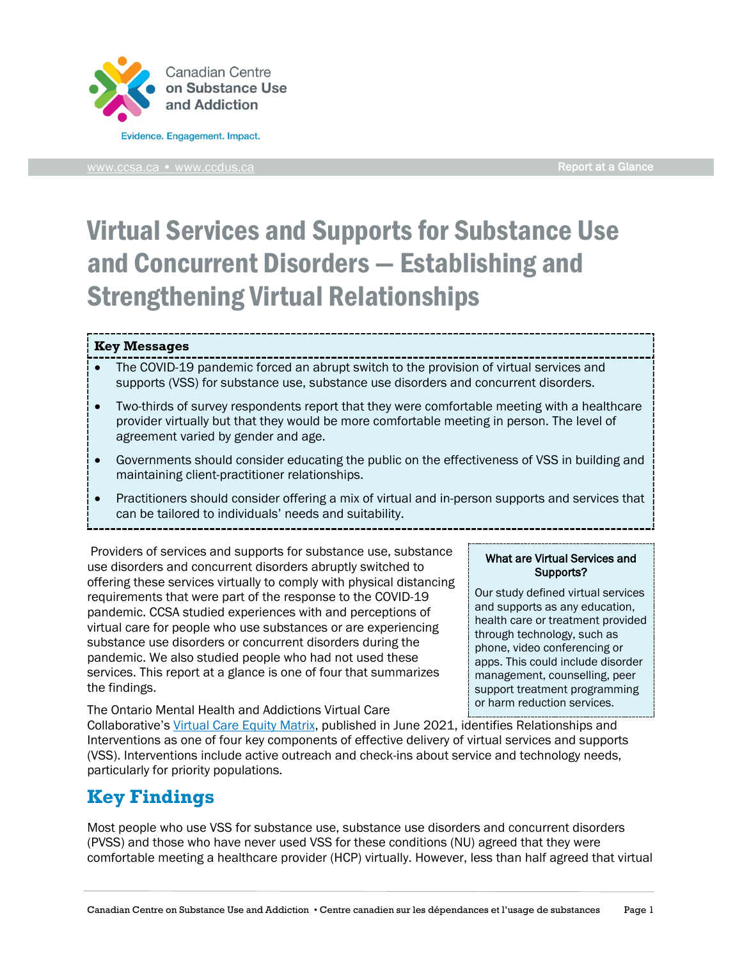

[www.ccsa.ca](http://www.ccsa.ca/) • www.ccdus.ca Report at a Glance

What are Virtual Services and Supports? Our study defined virtual services and supports as any education, health care or treatment provided through technology, such as phone, video conferencing or apps. This could include disorder management, counselling, peer support treatment programming

# Virtual Services and Supports for Substance Use and Concurrent Disorders — Establishing and Strengthening Virtual Relationships

#### **Key Messages**

- The COVID-19 pandemic forced an abrupt switch to the provision of virtual services and supports (VSS) for substance use, substance use disorders and concurrent disorders.
- Two-thirds of survey respondents report that they were comfortable meeting with a healthcare provider virtually but that they would be more comfortable meeting in person. The level of agreement varied by gender and age.
- Governments should consider educating the public on the effectiveness of VSS in building and maintaining client-practitioner relationships.
- Practitioners should consider offering a mix of virtual and in-person supports and services that can be tailored to individuals' needs and suitability.

Providers of services and supports for substance use, substance use disorders and concurrent disorders abruptly switched to offering these services virtually to comply with physical distancing requirements that were part of the response to the COVID-19 pandemic. CCSA studied experiences with and perceptions of virtual care for people who use substances or are experiencing substance use disorders or concurrent disorders during the pandemic. We also studied people who had not used these services. This report at a glance is one of four that summarizes the findings.

The Ontario Mental Health and Addictions Virtual Care Collaborative's [Virtual Care Equity Matrix,](https://kmb.camh.ca/eenet/resources/virtual-care-equity-matrix-no-one-left-behind) published in June 2021, identifies Relationships and Interventions as one of four key components of effective delivery of virtual services and supports (VSS). Interventions include active outreach and check-ins about service and technology needs, particularly for priority populations. or harm reduction services.

## **Key Findings**

Most people who use VSS for substance use, substance use disorders and concurrent disorders (PVSS) and those who have never used VSS for these conditions (NU) agreed that they were comfortable meeting a healthcare provider (HCP) virtually. However, less than half agreed that virtual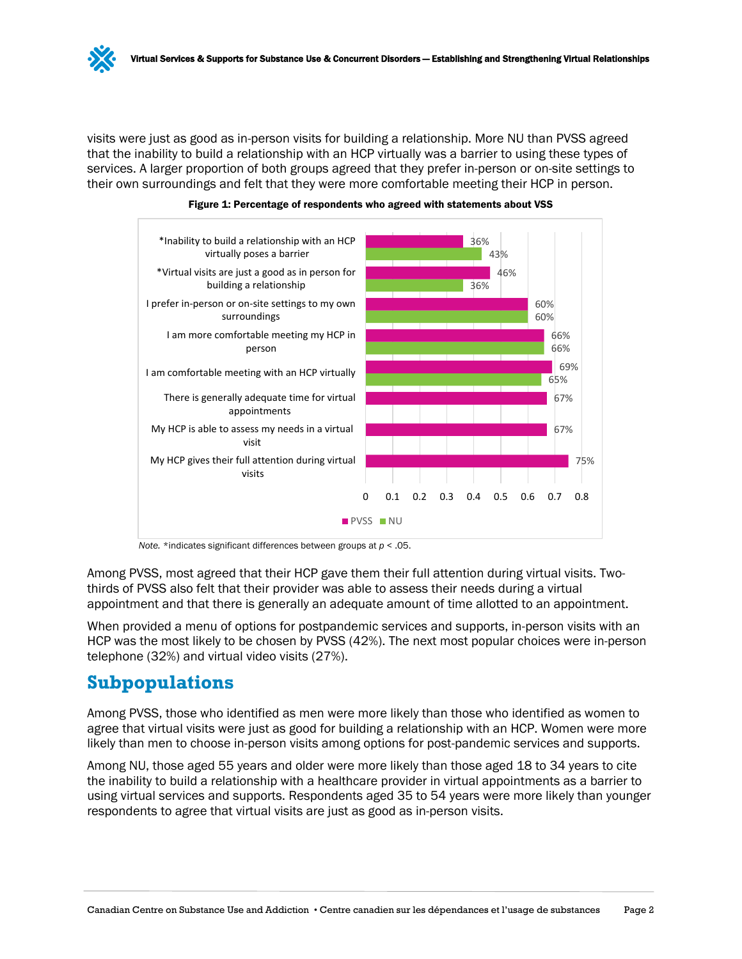visits were just as good as in-person visits for building a relationship. More NU than PVSS agreed that the inability to build a relationship with an HCP virtually was a barrier to using these types of services. A larger proportion of both groups agreed that they prefer in-person or on-site settings to their own surroundings and felt that they were more comfortable meeting their HCP in person.





*Note.* \*indicates significant differences between groups at *p* < .05.

Among PVSS, most agreed that their HCP gave them their full attention during virtual visits. Twothirds of PVSS also felt that their provider was able to assess their needs during a virtual appointment and that there is generally an adequate amount of time allotted to an appointment.

When provided a menu of options for postpandemic services and supports, in-person visits with an HCP was the most likely to be chosen by PVSS (42%). The next most popular choices were in-person telephone (32%) and virtual video visits (27%).

### **Subpopulations**

Among PVSS, those who identified as men were more likely than those who identified as women to agree that virtual visits were just as good for building a relationship with an HCP. Women were more likely than men to choose in-person visits among options for post-pandemic services and supports.

Among NU, those aged 55 years and older were more likely than those aged 18 to 34 years to cite the inability to build a relationship with a healthcare provider in virtual appointments as a barrier to using virtual services and supports. Respondents aged 35 to 54 years were more likely than younger respondents to agree that virtual visits are just as good as in-person visits.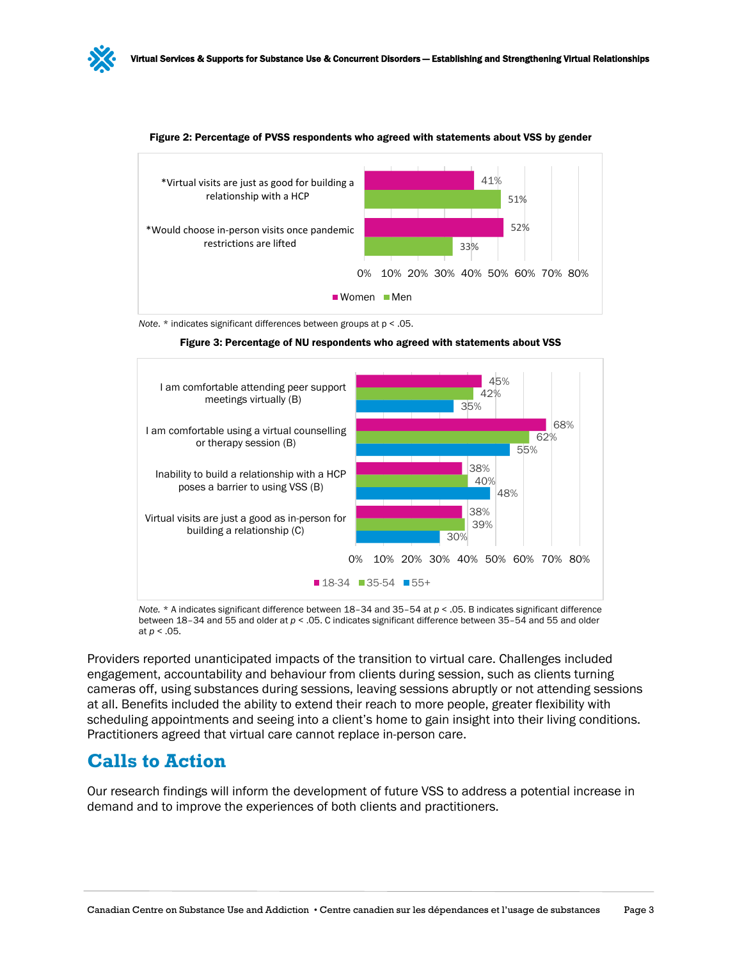



#### Figure 2: Percentage of PVSS respondents who agreed with statements about VSS by gender

*Note*. \* indicates significant differences between groups at p < .05.





*Note.* \* A indicates significant difference between 18–34 and 35–54 at *p* < .05. B indicates significant difference between 18–34 and 55 and older at *p* < .05. C indicates significant difference between 35–54 and 55 and older at *p* < .05.

Providers reported unanticipated impacts of the transition to virtual care. Challenges included engagement, accountability and behaviour from clients during session, such as clients turning cameras off, using substances during sessions, leaving sessions abruptly or not attending sessions at all. Benefits included the ability to extend their reach to more people, greater flexibility with scheduling appointments and seeing into a client's home to gain insight into their living conditions. Practitioners agreed that virtual care cannot replace in-person care.

### **Calls to Action**

Our research findings will inform the development of future VSS to address a potential increase in demand and to improve the experiences of both clients and practitioners.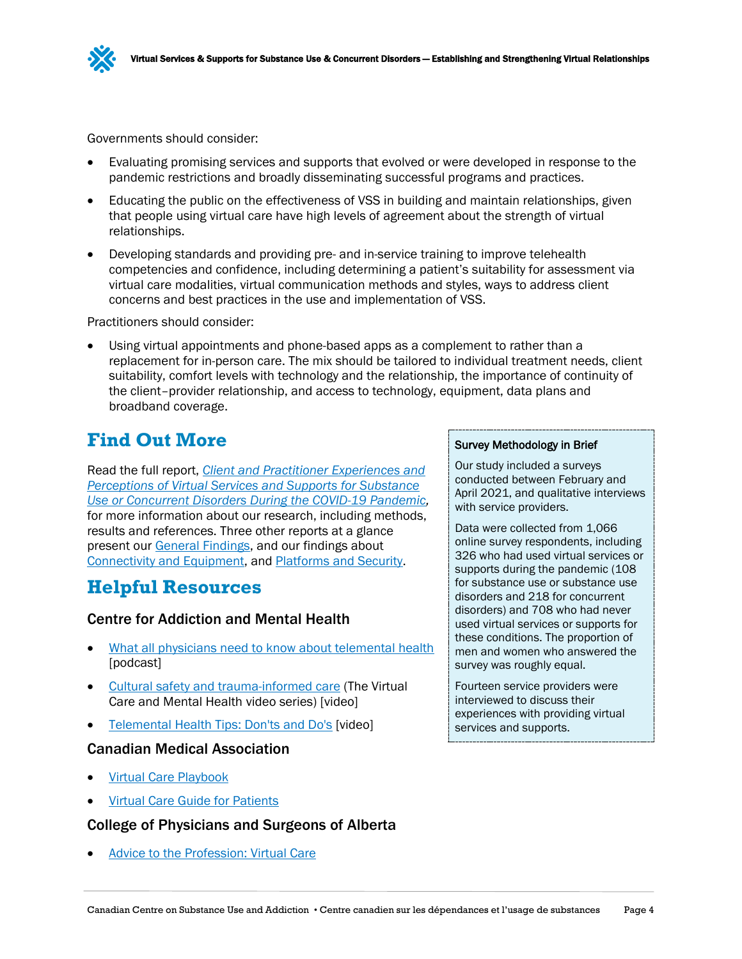

Governments should consider:

- Evaluating promising services and supports that evolved or were developed in response to the pandemic restrictions and broadly disseminating successful programs and practices.
- Educating the public on the effectiveness of VSS in building and maintain relationships, given that people using virtual care have high levels of agreement about the strength of virtual relationships.
- Developing standards and providing pre- and in-service training to improve telehealth competencies and confidence, including determining a patient's suitability for assessment via virtual care modalities, virtual communication methods and styles, ways to address client concerns and best practices in the use and implementation of VSS.

Practitioners should consider:

• Using virtual appointments and phone-based apps as a complement to rather than a replacement for in-person care. The mix should be tailored to individual treatment needs, client suitability, comfort levels with technology and the relationship, the importance of continuity of the client–provider relationship, and access to technology, equipment, data plans and broadband coverage.

### **Find Out More**

Read the full report, *[Client and Practitioner Experiences and](https://www.ccsa.ca/client-and-practitioner-experiences-and-perceptions-virtual-services-and-supports-substance-use-or)  [Perceptions of Virtual Services and Supports for Substance](https://www.ccsa.ca/client-and-practitioner-experiences-and-perceptions-virtual-services-and-supports-substance-use-or)  [Use or Concurrent Disorders During the COVID-19 Pandemic,](https://www.ccsa.ca/client-and-practitioner-experiences-and-perceptions-virtual-services-and-supports-substance-use-or)* for more information about our research, including methods, results and references. Three other reports at a glance present our [General Findings,](https://www.ccsa.ca/virtual-services-and-supports-substance-use-and-concurrent-disorders-general-experiences-report) and our findings about [Connectivity and Equipment,](https://www.ccsa.ca/virtual-services-and-supports-substance-use-and-concurrent-disorders-connectivity-and-equipment) and [Platforms and Security.](https://www.ccsa.ca/virtual-services-and-supports-substance-use-and-concurrent-disorders-platforms-and-security-report)

### **Helpful Resources**

### Centre for Addiction and Mental Health

- [What all physicians need to know](https://www.porticonetwork.ca/web/podcasts/quick-takes/telemental-health) about telemental health [podcast]
- [Cultural safety and trauma-informed care](https://vimeo.com/461529363) (The Virtual Care and Mental Health video series) [video]
- [Telemental Health Tips: Don'ts and Do's](https://www.youtube.com/watch?v=K4unpA1Se5I) [video]

#### Canadian Medical Association

- [Virtual Care Playbook](https://www.cma.ca/sites/default/files/pdf/Virtual-Care-Playbook_mar2020_E.pdf)
- [Virtual Care Guide for Patients](https://www.cma.ca/sites/default/files/pdf/Patient-Virtual-Care-Guide-E.pdf)

#### College of Physicians and Surgeons of Alberta

• Advice [to the Profession: Virtual Care](https://cpsa.ca/wp-content/uploads/2020/06/AP_Virtual-Care-1.pdf)

#### Survey Methodology in Brief

Our study included a surveys conducted between February and April 2021, and qualitative interviews with service providers.

Data were collected from 1,066 online survey respondents, including 326 who had used virtual services or supports during the pandemic (108 for substance use or substance use disorders and 218 for concurrent disorders) and 708 who had never used virtual services or supports for these conditions. The proportion of men and women who answered the survey was roughly equal.

Fourteen service providers were interviewed to discuss their experiences with providing virtual services and supports.